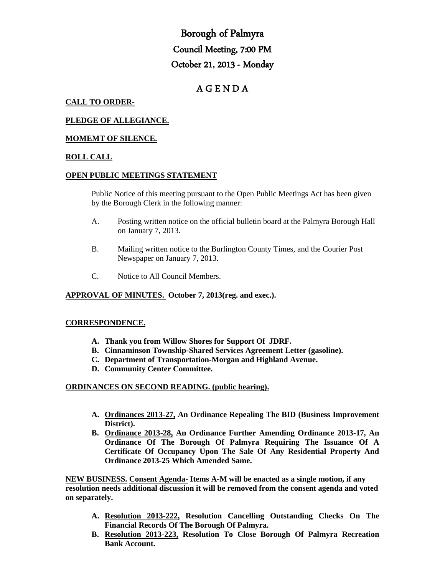# Borough of Palmyra Council Meeting, 7:00 PM October 21, 2013 - Monday

# A G E N D A

# **CALL TO ORDER-**

# **PLEDGE OF ALLEGIANCE.**

# **MOMEMT OF SILENCE.**

### **ROLL CALL**

#### **OPEN PUBLIC MEETINGS STATEMENT**

Public Notice of this meeting pursuant to the Open Public Meetings Act has been given by the Borough Clerk in the following manner:

- A. Posting written notice on the official bulletin board at the Palmyra Borough Hall on January 7, 2013.
- B. Mailing written notice to the Burlington County Times, and the Courier Post Newspaper on January 7, 2013.
- C. Notice to All Council Members.

#### **APPROVAL OF MINUTES. October 7, 2013(reg. and exec.).**

#### **CORRESPONDENCE.**

- **A. Thank you from Willow Shores for Support Of JDRF.**
- **B. Cinnaminson Township-Shared Services Agreement Letter (gasoline).**
- **C. Department of Transportation-Morgan and Highland Avenue.**
- **D. Community Center Committee.**

#### **ORDINANCES ON SECOND READING. (public hearing).**

- **A. Ordinances 2013-27, An Ordinance Repealing The BID (Business Improvement District).**
- **B. Ordinance 2013-28, An Ordinance Further Amending Ordinance 2013-17, An Ordinance Of The Borough Of Palmyra Requiring The Issuance Of A Certificate Of Occupancy Upon The Sale Of Any Residential Property And Ordinance 2013-25 Which Amended Same.**

**NEW BUSINESS. Consent Agenda- Items A-M will be enacted as a single motion, if any resolution needs additional discussion it will be removed from the consent agenda and voted on separately.**

- **A. Resolution 2013-222, Resolution Cancelling Outstanding Checks On The Financial Records Of The Borough Of Palmyra.**
- **B. Resolution 2013-223, Resolution To Close Borough Of Palmyra Recreation Bank Account.**